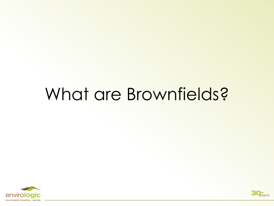# What are Brownfields?



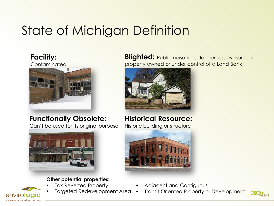## State of Michigan Definition

#### **Facility:**

**Contaminated** 



#### **Functionally Obsolete:**

Can't be used for its original purpose



#### **Other potential properties:**

- enviro environmental consulting + ser
- Tax Reverted Property
- Targeted Redevelopment Area

**Blighted:** Public nuisance, dangerous, eyesore, or property owned or under control of a Land Bank



### **Historical Resource:**

Historic building or structure



- Adjacent and Contiguous
- **Transit-Oriented Property or Development**

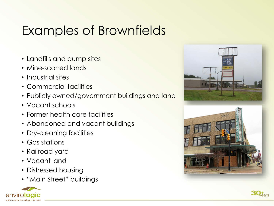## Examples of Brownfields

- Landfills and dump sites
- Mine-scarred lands
- Industrial sites
- Commercial facilities
- Publicly owned/government buildings and land
- Vacant schools
- Former health care facilities
- Abandoned and vacant buildings
- Dry-cleaning facilities
- Gas stations
- Railroad yard
- Vacant land
- Distressed housing
- "Main Street" buildings







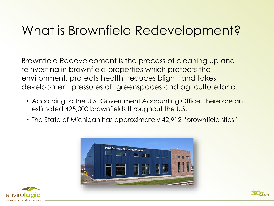### What is Brownfield Redevelopment?

Brownfield Redevelopment is the process of cleaning up and reinvesting in brownfield properties which protects the environment, protects health, reduces blight, and takes development pressures off greenspaces and agriculture land.

- According to the U.S. Government Accounting Office, there are an estimated 425,000 brownfields throughout the U.S.
- The State of Michigan has approximately 42,912 "brownfield sites."





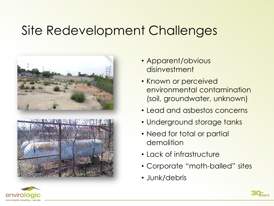### Site Redevelopment Challenges





- Apparent/obvious disinvestment
- Known or perceived environmental contamination (soil, groundwater, unknown)
- Lead and asbestos concerns
- Underground storage tanks
- Need for total or partial demolition
- Lack of infrastructure
- Corporate "moth-balled" sites
- Junk/debris



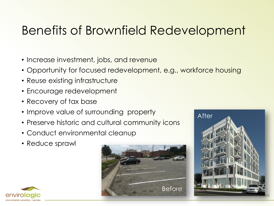### Benefits of Brownfield Redevelopment

- Increase investment, jobs, and revenue
- Opportunity for focused redevelopment, e.g., workforce housing
- Reuse existing infrastructure
- Encourage redevelopment
- Recovery of tax base
- Improve value of surrounding property
- Preserve historic and cultural community icons
- Conduct environmental cleanup
- Reduce sprawl